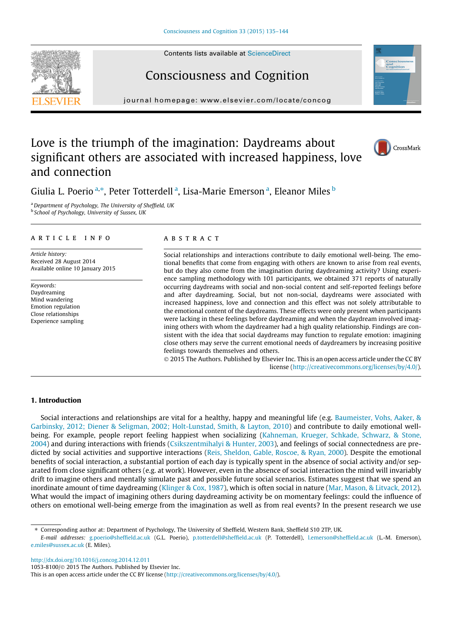Contents lists available at [ScienceDirect](http://www.sciencedirect.com/science/journal/10538100)

# Consciousness and Cognition

journal homepage: [www.elsevier.com/locate/concog](http://www.elsevier.com/locate/concog)

## Love is the triumph of the imagination: Daydreams about significant others are associated with increased happiness, love and connection

Giulia L. Poerio <sup>a,</sup>\*, Peter Totterdell <sup>a</sup>, Lisa-Marie Emerson <sup>a</sup>, Eleanor Miles <sup>b</sup>

<sup>a</sup> Department of Psychology, The University of Sheffield, UK **b** School of Psychology, University of Sussex, UK

#### article info

Article history: Received 28 August 2014 Available online 10 January 2015

Keywords: Daydreaming Mind wandering Emotion regulation Close relationships Experience sampling

### ABSTRACT

Social relationships and interactions contribute to daily emotional well-being. The emotional benefits that come from engaging with others are known to arise from real events, but do they also come from the imagination during daydreaming activity? Using experience sampling methodology with 101 participants, we obtained 371 reports of naturally occurring daydreams with social and non-social content and self-reported feelings before and after daydreaming. Social, but not non-social, daydreams were associated with increased happiness, love and connection and this effect was not solely attributable to the emotional content of the daydreams. These effects were only present when participants were lacking in these feelings before daydreaming and when the daydream involved imagining others with whom the daydreamer had a high quality relationship. Findings are consistent with the idea that social daydreams may function to regulate emotion: imagining close others may serve the current emotional needs of daydreamers by increasing positive feelings towards themselves and others.

 $\odot$  2015 The Authors. Published by Elsevier Inc. This is an open access article under the CC BY license ([http://creativecommons.org/licenses/by/4.0/\)](http://creativecommons.org/licenses/by/4.0/).

#### 1. Introduction

Social interactions and relationships are vital for a healthy, happy and meaningful life (e.g. [Baumeister, Vohs, Aaker, &](#page--1-0) [Garbinsky, 2012; Diener & Seligman, 2002; Holt-Lunstad, Smith, & Layton, 2010\)](#page--1-0) and contribute to daily emotional wellbeing. For example, people report feeling happiest when socializing [\(Kahneman, Krueger, Schkade, Schwarz, & Stone,](#page--1-0) [2004\)](#page--1-0) and during interactions with friends [\(Csikszentmihalyi & Hunter, 2003](#page--1-0)), and feelings of social connectedness are predicted by social activities and supportive interactions ([Reis, Sheldon, Gable, Roscoe, & Ryan, 2000\)](#page--1-0). Despite the emotional benefits of social interaction, a substantial portion of each day is typically spent in the absence of social activity and/or separated from close significant others (e.g. at work). However, even in the absence of social interaction the mind will invariably drift to imagine others and mentally simulate past and possible future social scenarios. Estimates suggest that we spend an inordinate amount of time daydreaming [\(Klinger & Cox, 1987](#page--1-0)), which is often social in nature [\(Mar, Mason, & Litvack, 2012](#page--1-0)). What would the impact of imagining others during daydreaming activity be on momentary feelings: could the influence of others on emotional well-being emerge from the imagination as well as from real events? In the present research we use

⇑ Corresponding author at: Department of Psychology, The University of Sheffield, Western Bank, Sheffield S10 2TP, UK.

E-mail addresses: [g.poerio@sheffield.ac.uk](mailto:g.poerio@sheffield.ac.uk) (G.L. Poerio), [p.totterdell@sheffield.ac.uk](mailto:p.totterdell@sheffield.ac.uk) (P. Totterdell), [l.emerson@sheffield.ac.uk](mailto:l.emerson@sheffield.ac.uk) (L.-M. Emerson), [e.miles@sussex.ac.uk](mailto:                  e.miles@sussex.ac.uk) (E. Miles).

<http://dx.doi.org/10.1016/j.concog.2014.12.011>

1053-8100/© 2015 The Authors. Published by Elsevier Inc.

This is an open access article under the CC BY license ([http://creativecommons.org/licenses/by/4.0/\)](http://creativecommons.org/licenses/by/4.0/).





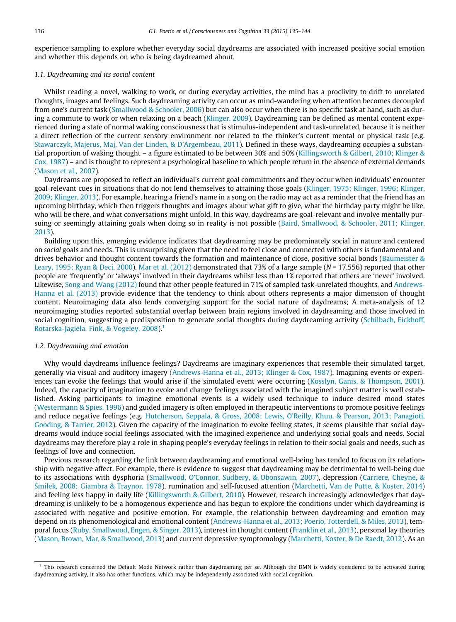experience sampling to explore whether everyday social daydreams are associated with increased positive social emotion and whether this depends on who is being daydreamed about.

### 1.1. Daydreaming and its social content

Whilst reading a novel, walking to work, or during everyday activities, the mind has a proclivity to drift to unrelated thoughts, images and feelings. Such daydreaming activity can occur as mind-wandering when attention becomes decoupled from one's current task ([Smallwood & Schooler, 2006\)](#page--1-0) but can also occur when there is no specific task at hand, such as during a commute to work or when relaxing on a beach [\(Klinger, 2009\)](#page--1-0). Daydreaming can be defined as mental content experienced during a state of normal waking consciousness that is stimulus-independent and task-unrelated, because it is neither a direct reflection of the current sensory environment nor related to the thinker's current mental or physical task (e.g. [Stawarczyk, Majerus, Maj, Van der Linden, & D'Argembeau, 2011\)](#page--1-0). Defined in these ways, daydreaming occupies a substantial proportion of waking thought – a figure estimated to be between 30% and 50% ([Killingsworth & Gilbert, 2010; Klinger &](#page--1-0) [Cox, 1987](#page--1-0)) – and is thought to represent a psychological baseline to which people return in the absence of external demands [\(Mason et al., 2007](#page--1-0)).

Daydreams are proposed to reflect an individual's current goal commitments and they occur when individuals' encounter goal-relevant cues in situations that do not lend themselves to attaining those goals [\(Klinger, 1975; Klinger, 1996; Klinger,](#page--1-0) [2009; Klinger, 2013\)](#page--1-0). For example, hearing a friend's name in a song on the radio may act as a reminder that the friend has an upcoming birthday, which then triggers thoughts and images about what gift to give, what the birthday party might be like, who will be there, and what conversations might unfold. In this way, daydreams are goal-relevant and involve mentally pursuing or seemingly attaining goals when doing so in reality is not possible ([Baird, Smallwood, & Schooler, 2011; Klinger,](#page--1-0) [2013](#page--1-0)).

Building upon this, emerging evidence indicates that daydreaming may be predominately social in nature and centered on social goals and needs. This is unsurprising given that the need to feel close and connected with others is fundamental and drives behavior and thought content towards the formation and maintenance of close, positive social bonds [\(Baumeister &](#page--1-0) [Leary, 1995; Ryan & Deci, 2000](#page--1-0)). [Mar et al. \(2012\)](#page--1-0) demonstrated that 73% of a large sample ( $N = 17,556$ ) reported that other people are 'frequently' or 'always' involved in their daydreams whilst less than 1% reported that others are 'never' involved. Likewise, [Song and Wang \(2012\)](#page--1-0) found that other people featured in 71% of sampled task-unrelated thoughts, and [Andrews-](#page--1-0)[Hanna et al. \(2013\)](#page--1-0) provide evidence that the tendency to think about others represents a major dimension of thought content. Neuroimaging data also lends converging support for the social nature of daydreams; A meta-analysis of 12 neuroimaging studies reported substantial overlap between brain regions involved in daydreaming and those involved in social cognition, suggesting a predisposition to generate social thoughts during daydreaming activity [\(Schilbach, Eickhoff,](#page--1-0) [Rotarska-Jagiela, Fink, & Vogeley, 2008\)](#page--1-0).1

#### 1.2. Daydreaming and emotion

Why would daydreams influence feelings? Daydreams are imaginary experiences that resemble their simulated target, generally via visual and auditory imagery ([Andrews-Hanna et al., 2013; Klinger & Cox, 1987\)](#page--1-0). Imagining events or experiences can evoke the feelings that would arise if the simulated event were occurring ([Kosslyn, Ganis, & Thompson, 2001](#page--1-0)). Indeed, the capacity of imagination to evoke and change feelings associated with the imagined subject matter is well established. Asking participants to imagine emotional events is a widely used technique to induce desired mood states [\(Westermann & Spies, 1996](#page--1-0)) and guided imagery is often employed in therapeutic interventions to promote positive feelings and reduce negative feelings (e.g. [Hutcherson, Seppala, & Gross, 2008; Lewis, O'Reilly, Khuu, & Pearson, 2013; Panagioti,](#page--1-0) [Gooding, & Tarrier, 2012\)](#page--1-0). Given the capacity of the imagination to evoke feeling states, it seems plausible that social daydreams would induce social feelings associated with the imagined experience and underlying social goals and needs. Social daydreams may therefore play a role in shaping people's everyday feelings in relation to their social goals and needs, such as feelings of love and connection.

Previous research regarding the link between daydreaming and emotional well-being has tended to focus on its relationship with negative affect. For example, there is evidence to suggest that daydreaming may be detrimental to well-being due to its associations with dysphoria [\(Smallwood, O'Connor, Sudbery, & Obonsawin, 2007\)](#page--1-0), depression [\(Carriere, Cheyne, &](#page--1-0) [Smilek, 2008; Giambra & Traynor, 1978](#page--1-0)), rumination and self-focused attention [\(Marchetti, Van de Putte, & Koster, 2014](#page--1-0)) and feeling less happy in daily life [\(Killingsworth & Gilbert, 2010](#page--1-0)). However, research increasingly acknowledges that daydreaming is unlikely to be a homogenous experience and has begun to explore the conditions under which daydreaming is associated with negative and positive emotion. For example, the relationship between daydreaming and emotion may depend on its phenomenological and emotional content ([Andrews-Hanna et al., 2013; Poerio, Totterdell, & Miles, 2013](#page--1-0)), temporal focus [\(Ruby, Smallwood, Engen, & Singer, 2013\)](#page--1-0), interest in thought content [\(Franklin et al., 2013\)](#page--1-0), personal lay theories [\(Mason, Brown, Mar, & Smallwood, 2013](#page--1-0)) and current depressive symptomology [\(Marchetti, Koster, & De Raedt, 2012](#page--1-0)). As an

<sup>&</sup>lt;sup>1</sup> This research concerned the Default Mode Network rather than daydreaming per se. Although the DMN is widely considered to be activated during daydreaming activity, it also has other functions, which may be independently associated with social cognition.